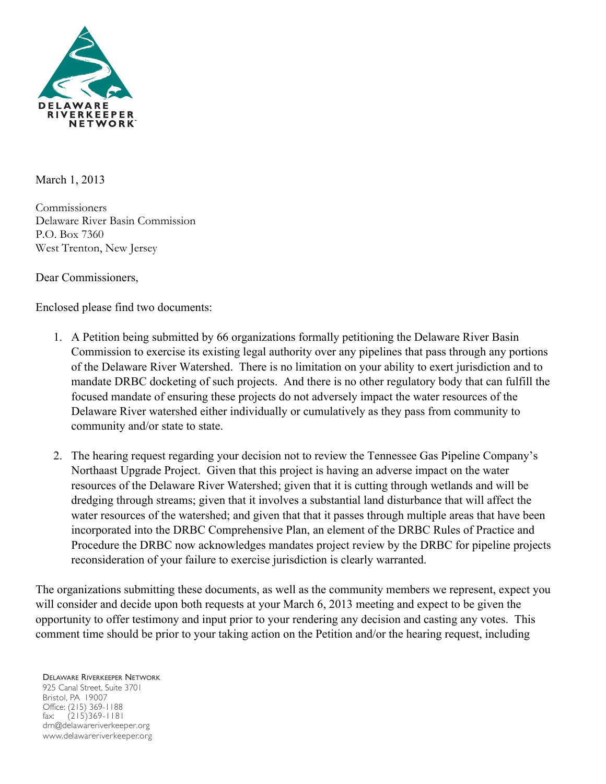

March 1, 2013

Commissioners Delaware River Basin Commission P.O. Box 7360 West Trenton, New Jersey

Dear Commissioners,

Enclosed please find two documents:

- 1. A Petition being submitted by 66 organizations formally petitioning the Delaware River Basin Commission to exercise its existing legal authority over any pipelines that pass through any portions of the Delaware River Watershed. There is no limitation on your ability to exert jurisdiction and to mandate DRBC docketing of such projects. And there is no other regulatory body that can fulfill the focused mandate of ensuring these projects do not adversely impact the water resources of the Delaware River watershed either individually or cumulatively as they pass from community to community and/or state to state.
- 2. The hearing request regarding your decision not to review the Tennessee Gas Pipeline Company's Northaast Upgrade Project. Given that this project is having an adverse impact on the water resources of the Delaware River Watershed; given that it is cutting through wetlands and will be dredging through streams; given that it involves a substantial land disturbance that will affect the water resources of the watershed; and given that that it passes through multiple areas that have been incorporated into the DRBC Comprehensive Plan, an element of the DRBC Rules of Practice and Procedure the DRBC now acknowledges mandates project review by the DRBC for pipeline projects reconsideration of your failure to exercise jurisdiction is clearly warranted.

The organizations submitting these documents, as well as the community members we represent, expect you will consider and decide upon both requests at your March 6, 2013 meeting and expect to be given the opportunity to offer testimony and input prior to your rendering any decision and casting any votes. This comment time should be prior to your taking action on the Petition and/or the hearing request, including

DELAWARE RIVERKEEPER NETWORK 925 Canal Street, Suite 3701 Bristol, PA 19007 Office: (215) 369-1188 fax: (215)369-1181 drn@delawareriverkeeper.org www.delawareriverkeeper.org